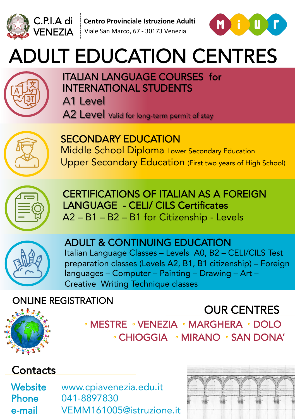



# ADULT EDUCATION CENTRES



#### ITALIAN LANGUAGE COURSES for INTERNATIONAL STUDENTS

A1 Level

A2 Level Valid for long-term permit of stay



SECONDARY EDUCATION Middle School Diploma Lower Secondary Education Upper Secondary Education (First two years of High School)



CERTIFICATIONS OF ITALIAN AS A FOREIGN LANGUAGE - CELI/ CILS Certificates A2 – B1 – B2 – B1 for Citizenship - Levels



#### ADULT & CONTINUING EDUCATION Italian Language Classes – Levels A0, B2 – CELI/CILS Test

preparation classes (Levels A2, B1, B1 citizenship) – Foreign languages – Computer – Painting – Drawing – Art – Creative Writing Technique classes

### ONLINE REGISTRATION



 ◦ MESTRE ◦ VENEZIA ◦ MARGHERA ◦ DOLO ◦ CHIOGGIA ◦ MIRANO ◦ SAN DONA'

### **Contacts**

Website www.cpiavenezia.edu.it Phone 041-8897830 e-mail VEMM161005@istruzione.it



OUR CENTRES